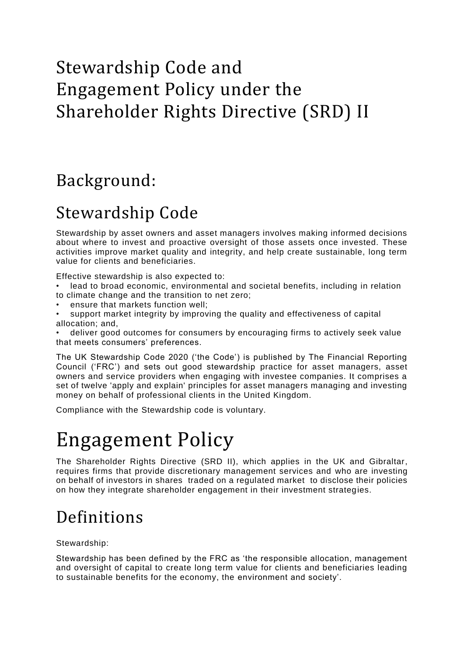# Stewardship Code and Engagement Policy under the Shareholder Rights Directive (SRD) II

## Background:

## Stewardship Code

Stewardship by asset owners and asset managers involves making informed decisions about where to invest and proactive oversight of those assets once invested. These activities improve market quality and integrity, and help create sustainable, long term value for clients and beneficiaries.

Effective stewardship is also expected to:

- lead to broad economic, environmental and societal benefits, including in relation to climate change and the transition to net zero;
- ensure that markets function well;
- support market integrity by improving the quality and effectiveness of capital allocation; and,

• deliver good outcomes for consumers by encouraging firms to actively seek value that meets consumers' preferences.

The UK Stewardship Code 2020 ('the Code') is published by The Financial Reporting Council ('FRC') and sets out good stewardship practice for asset managers, asset owners and service providers when engaging with investee companies. It comprises a set of twelve 'apply and explain' principles for asset managers managing and investing money on behalf of professional clients in the United Kingdom.

Compliance with the Stewardship code is voluntary.

# Engagement Policy

The Shareholder Rights Directive (SRD II), which applies in the UK and Gibraltar, requires firms that provide discretionary management services and who are investing on behalf of investors in shares traded on a regulated market to disclose their policies on how they integrate shareholder engagement in their investment strategies.

# Definitions

#### Stewardship:

Stewardship has been defined by the FRC as 'the responsible allocation, management and oversight of capital to create long term value for clients and beneficiaries leading to sustainable benefits for the economy, the environment and society'.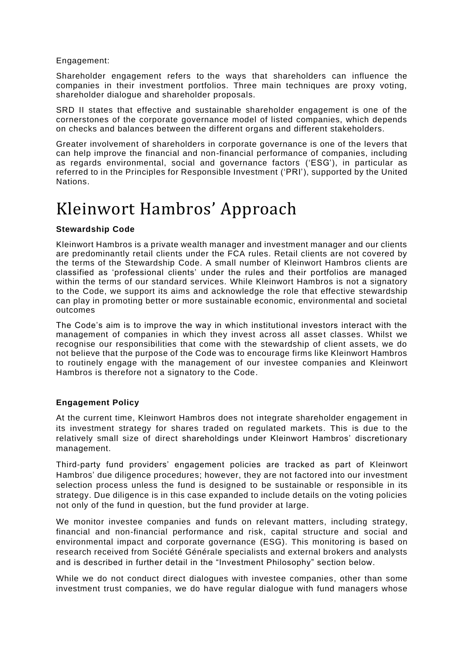Engagement:

Shareholder engagement refers to the ways that shareholders can influence the companies in their investment portfolios. Three main techniques are proxy voting, shareholder dialogue and shareholder proposals.

SRD II states that effective and sustainable shareholder engagement is one of the cornerstones of the corporate governance model of listed companies, which depends on checks and balances between the different organs and different stakeholders.

Greater involvement of shareholders in corporate governance is one of the levers that can help improve the financial and non-financial performance of companies, including as regards environmental, social and governance factors ('ESG'), in particular as referred to in the Principles for Responsible Investment ('PRI'), supported by the United Nations.

### Kleinwort Hambros' Approach

#### **Stewardship Code**

Kleinwort Hambros is a private wealth manager and investment manager and our clients are predominantly retail clients under the FCA rules. Retail clients are not covered by the terms of the Stewardship Code. A small number of Kleinwort Hambros clients are classified as 'professional clients' under the rules and their portfolios are managed within the terms of our standard services. While Kleinwort Hambros is not a signatory to the Code, we support its aims and acknowledge the role that effective stewardship can play in promoting better or more sustainable economic, environmental and societal outcomes

The Code's aim is to improve the way in which institutional investors interact with the management of companies in which they invest across all asset classes. Whilst we recognise our responsibilities that come with the stewardship of client assets, we do not believe that the purpose of the Code was to encourage firms like Kleinwort Hambros to routinely engage with the management of our investee companies and Kleinwort Hambros is therefore not a signatory to the Code.

#### **Engagement Policy**

At the current time, Kleinwort Hambros does not integrate shareholder engagement in its investment strategy for shares traded on regulated markets. This is due to the relatively small size of direct shareholdings under Kleinwort Hambros' discretionary management.

Third-party fund providers' engagement policies are tracked as part of Kleinwort Hambros' due diligence procedures; however, they are not factored into our investment selection process unless the fund is designed to be sustainable or responsible in its strategy. Due diligence is in this case expanded to include details on the voting policies not only of the fund in question, but the fund provider at large.

We monitor investee companies and funds on relevant matters, including strategy, financial and non-financial performance and risk, capital structure and social and environmental impact and corporate governance (ESG). This monitoring is based on research received from Société Générale specialists and external brokers and analysts and is described in further detail in the "Investment Philosophy" section below.

While we do not conduct direct dialogues with investee companies, other than some investment trust companies, we do have regular dialogue with fund managers whose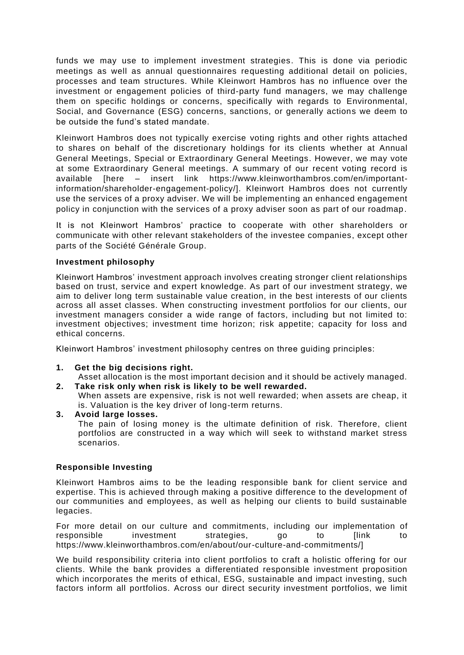funds we may use to implement investment strategies. This is done via periodic meetings as well as annual questionnaires requesting additional detail on policies, processes and team structures. While Kleinwort Hambros has no influence over the investment or engagement policies of third-party fund managers, we may challenge them on specific holdings or concerns, specifically with regards to Environmental, Social, and Governance (ESG) concerns, sanctions, or generally actions we deem to be outside the fund's stated mandate.

Kleinwort Hambros does not typically exercise voting rights and other rights attached to shares on behalf of the discretionary holdings for its clients whether at Annual General Meetings, Special or Extraordinary General Meetings. However, we may vote at some Extraordinary General meetings. A summary of our recent voting record is available [here – insert link https://www.kleinworthambros.com/en/importantinformation/shareholder-engagement-policy/]. Kleinwort Hambros does not currently use the services of a proxy adviser. We will be implementing an enhanced engagement policy in conjunction with the services of a proxy adviser soon as part of our roadmap.

It is not Kleinwort Hambros' practice to cooperate with other shareholders or communicate with other relevant stakeholders of the investee companies, except other parts of the Société Générale Group.

#### **Investment philosophy**

Kleinwort Hambros' investment approach involves creating stronger client relationships based on trust, service and expert knowledge. As part of our investment strategy, we aim to deliver long term sustainable value creation, in the best interests of our clients across all asset classes. When constructing investment portfolios for our clients, our investment managers consider a wide range of factors, including but not limited to: investment objectives; investment time horizon; risk appetite; capacity for loss and ethical concerns.

Kleinwort Hambros' investment philosophy centres on three guiding principles:

#### **1. Get the big decisions right.**

Asset allocation is the most important decision and it should be actively managed.

**2. Take risk only when risk is likely to be well rewarded.**  When assets are expensive, risk is not well rewarded; when assets are cheap, it is. Valuation is the key driver of long-term returns.

#### **3. Avoid large losses.**

The pain of losing money is the ultimate definition of risk. Therefore, client portfolios are constructed in a way which will seek to withstand market stress scenarios.

#### **Responsible Investing**

Kleinwort Hambros aims to be the leading responsible bank for client service and expertise. This is achieved through making a positive difference to the development of our communities and employees, as well as helping our clients to build sustainable legacies.

For more detail on our culture and commitments, including our implementation of responsible investment strategies, go to [link to https://www.kleinworthambros.com/en/about/our-culture-and-commitments/]

We build responsibility criteria into client portfolios to craft a holistic offering for our clients. While the bank provides a differentiated responsible investment proposition which incorporates the merits of ethical, ESG, sustainable and impact investing, such factors inform all portfolios. Across our direct security investment portfolios, we limit